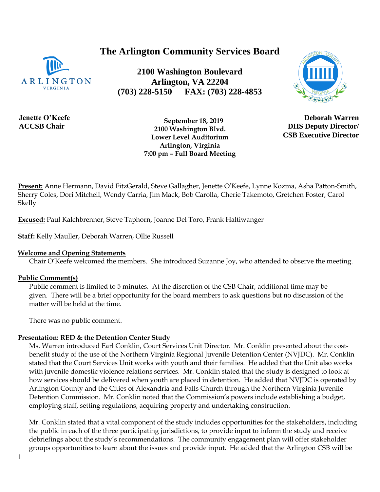# **The Arlington Community Services Board**

**2100 Washington Boulevard Arlington, VA 22204 (703) 228-5150 FAX: (703) 228-4853**



 **September 18, 2019 2100 Washington Blvd. Lower Level Auditorium Arlington, Virginia 7:00 pm – Full Board Meeting**

**Present:** Anne Hermann, David FitzGerald, Steve Gallagher, Jenette O'Keefe, Lynne Kozma, Asha Patton-Smith, Sherry Coles, Dori Mitchell, Wendy Carria, Jim Mack, Bob Carolla, Cherie Takemoto, Gretchen Foster, Carol Skelly

**Excused:** Paul Kalchbrenner, Steve Taphorn, Joanne Del Toro, Frank Haltiwanger

**Staff:** Kelly Mauller, Deborah Warren, Ollie Russell

#### **Welcome and Opening Statements**

Chair O'Keefe welcomed the members. She introduced Suzanne Joy, who attended to observe the meeting.

#### **Public Comment(s)**

Public comment is limited to 5 minutes. At the discretion of the CSB Chair, additional time may be given. There will be a brief opportunity for the board members to ask questions [but no](http://but.no/) discussion of the matter will be held at the time.

There was no public comment.

#### **Presentation: RED & the Detention Center Study**

Ms. Warren introduced Earl Conklin, Court Services Unit Director. Mr. Conklin presented about the costbenefit study of the use of the Northern Virginia Regional Juvenile Detention Center (NVJDC). Mr. Conklin stated that the Court Services Unit works with youth and their families. He added that the Unit also works with juvenile domestic violence relations services. Mr. Conklin stated that the study is designed to look at how services should be delivered when youth are placed in detention. He added that NVJDC is operated by Arlington County and the Cities of Alexandria and Falls Church through the Northern Virginia Juvenile Detention Commission. Mr. Conklin noted that the Commission's powers include establishing a budget, employing staff, setting regulations, acquiring property and undertaking construction.

Mr. Conklin stated that a vital component of the study includes opportunities for the stakeholders, including the public in each of the three participating jurisdictions, to provide input to inform the study and receive debriefings about the study's recommendations. The community engagement plan will offer stakeholder groups opportunities to learn about the issues and provide input. He added that the Arlington CSB will be

**Deborah Warren**

**DHS Deputy Director/ CSB Executive Director**

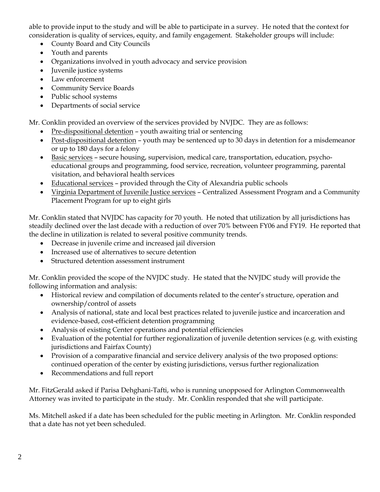able to provide input to the study and will be able to participate in a survey. He noted that the context for consideration is quality of services, equity, and family engagement. Stakeholder groups will include:

- County Board and City Councils
- Youth and parents
- Organizations involved in youth advocacy and service provision
- Juvenile justice systems
- Law enforcement
- Community Service Boards
- Public school systems
- Departments of social service

Mr. Conklin provided an overview of the services provided by NVJDC. They are as follows:

- Pre-dispositional detention youth awaiting trial or sentencing
- Post-dispositional detention youth may be sentenced up to 30 days in detention for a misdemeanor or up to 180 days for a felony
- Basic services secure housing, supervision, medical care, transportation, education, psychoeducational groups and programming, food service, recreation, volunteer programming, parental visitation, and behavioral health services
- Educational services provided through the City of Alexandria public schools
- Virginia Department of Juvenile Justice services Centralized Assessment Program and a Community Placement Program for up to eight girls

Mr. Conklin stated that NVJDC has capacity for 70 youth. He noted that utilization by all jurisdictions has steadily declined over the last decade with a reduction of over 70% between FY06 and FY19. He reported that the decline in utilization is related to several positive community trends.

- Decrease in juvenile crime and increased jail diversion
- Increased use of alternatives to secure detention
- Structured detention assessment instrument

Mr. Conklin provided the scope of the NVJDC study. He stated that the NVJDC study will provide the following information and analysis:

- Historical review and compilation of documents related to the center's structure, operation and ownership/control of assets
- Analysis of national, state and local best practices related to juvenile justice and incarceration and evidence-based, cost-efficient detention programming
- Analysis of existing Center operations and potential efficiencies
- Evaluation of the potential for further regionalization of juvenile detention services (e.g. with existing jurisdictions and Fairfax County)
- Provision of a comparative financial and service delivery analysis of the two proposed options: continued operation of the center by existing jurisdictions, versus further regionalization
- Recommendations and full report

Mr. FitzGerald asked if Parisa Dehghani-Tafti, who is running unopposed for Arlington Commonwealth Attorney was invited to participate in the study. Mr. Conklin responded that she will participate.

Ms. Mitchell asked if a date has been scheduled for the public meeting in Arlington. Mr. Conklin responded that a date has not yet been scheduled.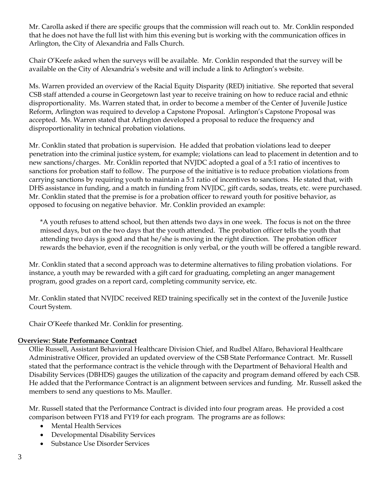Mr. Carolla asked if there are specific groups that the commission will reach out to. Mr. Conklin responded that he does not have the full list with him this evening but is working with the communication offices in Arlington, the City of Alexandria and Falls Church.

Chair O'Keefe asked when the surveys will be available. Mr. Conklin responded that the survey will be available on the City of Alexandria's website and will include a link to Arlington's website.

Ms. Warren provided an overview of the Racial Equity Disparity (RED) initiative. She reported that several CSB staff attended a course in Georgetown last year to receive training on how to reduce racial and ethnic disproportionality. Ms. Warren stated that, in order to become a member of the Center of Juvenile Justice Reform, Arlington was required to develop a Capstone Proposal. Arlington's Capstone Proposal was accepted. Ms. Warren stated that Arlington developed a proposal to reduce the frequency and disproportionality in technical probation violations.

Mr. Conklin stated that probation is supervision. He added that probation violations lead to deeper penetration into the criminal justice system, for example; violations can lead to placement in detention and to new sanctions/charges. Mr. Conklin reported that NVJDC adopted a goal of a 5:1 ratio of incentives to sanctions for probation staff to follow. The purpose of the initiative is to reduce probation violations from carrying sanctions by requiring youth to maintain a 5:1 ratio of incentives to sanctions. He stated that, with DHS assistance in funding, and a match in funding from NVJDC, gift cards, sodas, treats, etc. were purchased. Mr. Conklin stated that the premise is for a probation officer to reward youth for positive behavior, as opposed to focusing on negative behavior. Mr. Conklin provided an example:

\*A youth refuses to attend school, but then attends two days in one week. The focus is not on the three missed days, but on the two days that the youth attended. The probation officer tells the youth that attending two days is good and that he/she is moving in the right direction. The probation officer rewards the behavior, even if the recognition is only verbal, or the youth will be offered a tangible reward.

Mr. Conklin stated that a second approach was to determine alternatives to filing probation violations. For instance, a youth may be rewarded with a gift card for graduating, completing an anger management program, good grades on a report card, completing community service, etc.

Mr. Conklin stated that NVJDC received RED training specifically set in the context of the Juvenile Justice Court System.

Chair O'Keefe thanked Mr. Conklin for presenting.

#### **Overview: State Performance Contract**

Ollie Russell, Assistant Behavioral Healthcare Division Chief, and Rudbel Alfaro, Behavioral Healthcare Administrative Officer, provided an updated overview of the CSB State Performance Contract. Mr. Russell stated that the performance contract is the vehicle through with the Department of Behavioral Health and Disability Services (DBHDS) gauges the utilization of the capacity and program demand offered by each CSB. He added that the Performance Contract is an alignment between services and funding. Mr. Russell asked the members to send any questions to Ms. Mauller.

Mr. Russell stated that the Performance Contract is divided into four program areas. He provided a cost comparison between FY18 and FY19 for each program. The programs are as follows:

- Mental Health Services
- Developmental Disability Services
- Substance Use Disorder Services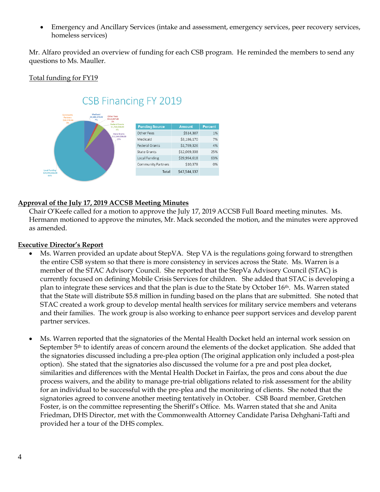• Emergency and Ancillary Services (intake and assessment, emergency services, peer recovery services, homeless services)

Mr. Alfaro provided an overview of funding for each CSB program. He reminded the members to send any questions to Ms. Mauller.

### Total funding for FY19



#### **Approval of the July 17, 2019 ACCSB Meeting Minutes**

Chair O'Keefe called for a motion to approve the July 17, 2019 ACCSB Full Board meeting minutes. Ms. Hermann motioned to approve the minutes, Mr. Mack seconded the motion, and the minutes were approved as amended.

#### **Executive Director's Report**

- Ms. Warren provided an update about StepVA. Step VA is the regulations going forward to strengthen the entire CSB system so that there is more consistency in services across the State. Ms. Warren is a member of the STAC Advisory Council. She reported that the StepVa Advisory Council (STAC) is currently focused on defining Mobile Crisis Services for children. She added that STAC is developing a plan to integrate these services and that the plan is due to the State by October 16th. Ms. Warren stated that the State will distribute \$5.8 million in funding based on the plans that are submitted. She noted that STAC created a work group to develop mental health services for military service members and veterans and their families. The work group is also working to enhance peer support services and develop parent partner services.
- Ms. Warren reported that the signatories of the Mental Health Docket held an internal work session on September 5th to identify areas of concern around the elements of the docket application. She added that the signatories discussed including a pre-plea option (The original application only included a post-plea option). She stated that the signatories also discussed the volume for a pre and post plea docket, similarities and differences with the Mental Health Docket in Fairfax, the pros and cons about the due process waivers, and the ability to manage pre-trial obligations related to risk assessment for the ability for an individual to be successful with the pre-plea and the monitoring of clients. She noted that the signatories agreed to convene another meeting tentatively in October. CSB Board member, Gretchen Foster, is on the committee representing the Sheriff's Office. Ms. Warren stated that she and Anita Friedman, DHS Director, met with the Commonwealth Attorney Candidate Parisa Dehghani-Tafti and provided her a tour of the DHS complex.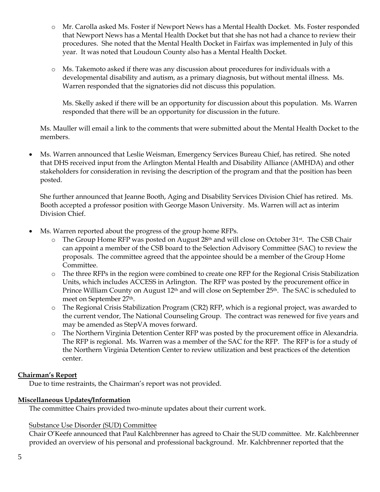- o Mr. Carolla asked Ms. Foster if Newport News has a Mental Health Docket. Ms. Foster responded that Newport News has a Mental Health Docket but that she has not had a chance to review their procedures. She noted that the Mental Health Docket in Fairfax was implemented in July of this year. It was noted that Loudoun County also has a Mental Health Docket.
- o Ms. Takemoto asked if there was any discussion about procedures for individuals with a developmental disability and autism, as a primary diagnosis, but without mental illness. Ms. Warren responded that the signatories did not discuss this population.

Ms. Skelly asked if there will be an opportunity for discussion about this population. Ms. Warren responded that there will be an opportunity for discussion in the future.

Ms. Mauller will email a link to the comments that were submitted about the Mental Health Docket to the members.

• Ms. Warren announced that Leslie Weisman, Emergency Services Bureau Chief, has retired. She noted that DHS received input from the Arlington Mental Health and Disability Alliance (AMHDA) and other stakeholders for consideration in revising the description of the program and that the position has been posted.

She further announced that Jeanne Booth, Aging and Disability Services Division Chief has retired. Ms. Booth accepted a professor position with George Mason University. Ms. Warren will act as interim Division Chief.

- Ms. Warren reported about the progress of the group home RFPs.
	- o The Group Home RFP was posted on August 28th and will close on October 31st. The CSB Chair can appoint a member of the CSB board to the Selection Advisory Committee (SAC) to review the proposals. The committee agreed that the appointee should be a member of the Group Home Committee.
	- o The three RFPs in the region were combined to create one RFP for the Regional Crisis Stabilization Units, which includes ACCESS in Arlington. The RFP was posted by the procurement office in Prince William County on August 12<sup>th</sup> and will close on September 25<sup>th</sup>. The SAC is scheduled to meet on September 27th.
	- o The Regional Crisis Stabilization Program (CR2) RFP, which is a regional project, was awarded to the current vendor, The National Counseling Group. The contract was renewed for five years and may be amended as StepVA moves forward.
	- o The Northern Virginia Detention Center RFP was posted by the procurement office in Alexandria. The RFP is regional. Ms. Warren was a member of the SAC for the RFP. The RFP is for a study of the Northern Virginia Detention Center to review utilization and best practices of the detention center.

# **Chairman's Report**

Due to time restraints, the Chairman's report was not provided.

# **Miscellaneous Updates/Information**

The committee Chairs provided two-minute updates about their current work.

# Substance Use Disorder (SUD) Committee

Chair O'Keefe announced that Paul Kalchbrenner has agreed to Chair the SUD committee. Mr. Kalchbrenner provided an overview of his personal and professional background. Mr. Kalchbrenner reported that the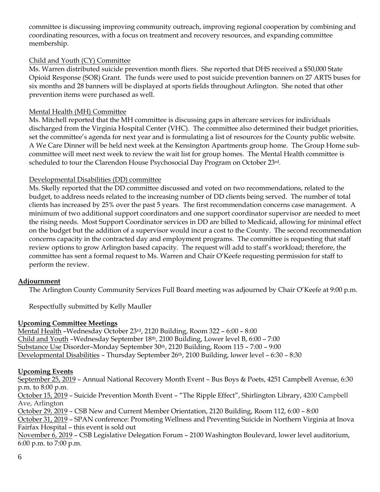committee is discussing improving community outreach, improving regional cooperation by combining and coordinating resources, with a focus on treatment and recovery resources, and expanding committee membership.

### Child and Youth (CY) Committee

Ms. Warren distributed suicide prevention month fliers. She reported that DHS received a \$50,000 State Opioid Response (SOR) Grant. The funds were used to post suicide prevention banners on 27 ARTS buses for six months and 28 banners will be displayed at sports fields throughout Arlington. She noted that other prevention items were purchased as well.

# Mental Health (MH) Committee

Ms. Mitchell reported that the MH committee is discussing gaps in aftercare services for individuals discharged from the Virginia Hospital Center (VHC). The committee also determined their budget priorities, set the committee's agenda for next year and is formulating a list of resources for the County public website. A We Care Dinner will be held next week at the Kensington Apartments group home. The Group Home subcommittee will meet next week to review the wait list for group homes. The Mental Health committee is scheduled to tour the Clarendon House Psychosocial Day Program on October 23rd.

#### Developmental Disabilities (DD) committee

Ms. Skelly reported that the DD committee discussed and voted on two recommendations, related to the budget, to address needs related to the increasing number of DD clients being served. The number of total clients has increased by 25% over the past 5 years. The first recommendation concerns case management. A minimum of two additional support coordinators and one support coordinator supervisor are needed to meet the rising needs. Most Support Coordinator services in DD are billed to Medicaid, allowing for minimal effect on the budget but the addition of a supervisor would incur a cost to the County. The second recommendation concerns capacity in the contracted day and employment programs. The committee is requesting that staff review options to grow Arlington based capacity. The request will add to staff's workload; therefore, the committee has sent a formal request to Ms. Warren and Chair O'Keefe requesting permission for staff to perform the review.

# **Adjournment**

The Arlington County Community Services Full Board meeting was adjourned by Chair O'Keefe at 9:00 p.m.

Respectfully submitted by Kelly Mauller

# **Upcoming Committee Meetings**

Mental Health –Wednesday October 23rd, 2120 Building, Room 322 – 6:00 – 8:00 Child and Youth –Wednesday September 18th, 2100 Building, Lower level B, 6:00 – 7:00 Substance Use Disorder–Monday September 30th, 2120 Building, Room 115 – 7:00 – 9:00 Developmental Disabilities – Thursday September 26th, 2100 Building, lower level – 6:30 – 8:30

# **Upcoming Events**

September 25, 2019 – Annual National Recovery Month Event – Bus Boys & Poets, 4251 Campbell Avenue, 6:30 p.m. to 8:00 p.m.

October 15, 2019 – Suicide Prevention Month Event – "The Ripple Effect", Shirlington Library, 4200 Campbell Ave, Arlington

October 29, 2019 – CSB New and Current Member Orientation, 2120 Building, Room 112, 6:00 – 8:00

October 31, 2019 – SPAN conference: Promoting Wellness and Preventing Suicide in Northern Virginia at Inova Fairfax Hospital – this event is sold out

November 6, 2019 – CSB Legislative Delegation Forum – 2100 Washington Boulevard, lower level auditorium, 6:00 p.m. to 7:00 p.m.